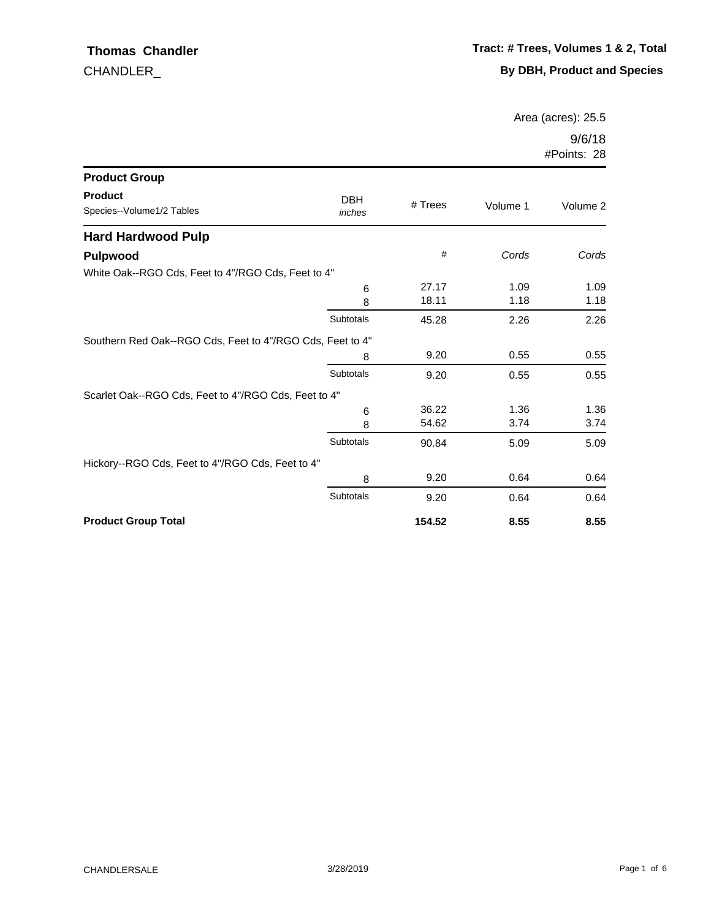Area (acres): 25.5

| <b>Product Group</b>                                      |                      |           |          |          |
|-----------------------------------------------------------|----------------------|-----------|----------|----------|
| <b>Product</b><br>Species--Volume1/2 Tables               | <b>DBH</b><br>inches | $#$ Trees | Volume 1 | Volume 2 |
| <b>Hard Hardwood Pulp</b>                                 |                      |           |          |          |
| Pulpwood                                                  |                      | #         | Cords    | Cords    |
| White Oak--RGO Cds, Feet to 4"/RGO Cds, Feet to 4"        |                      |           |          |          |
|                                                           | 6                    | 27.17     | 1.09     | 1.09     |
|                                                           | 8                    | 18.11     | 1.18     | 1.18     |
|                                                           | Subtotals            | 45.28     | 2.26     | 2.26     |
| Southern Red Oak--RGO Cds, Feet to 4"/RGO Cds, Feet to 4" |                      |           |          |          |
|                                                           | 8                    | 9.20      | 0.55     | 0.55     |
|                                                           | Subtotals            | 9.20      | 0.55     | 0.55     |
| Scarlet Oak--RGO Cds, Feet to 4"/RGO Cds, Feet to 4"      |                      |           |          |          |
|                                                           | 6                    | 36.22     | 1.36     | 1.36     |
|                                                           | 8                    | 54.62     | 3.74     | 3.74     |
|                                                           | Subtotals            | 90.84     | 5.09     | 5.09     |
| Hickory--RGO Cds, Feet to 4"/RGO Cds, Feet to 4"          |                      |           |          |          |
|                                                           | 8                    | 9.20      | 0.64     | 0.64     |
|                                                           | Subtotals            | 9.20      | 0.64     | 0.64     |
| <b>Product Group Total</b>                                |                      | 154.52    | 8.55     | 8.55     |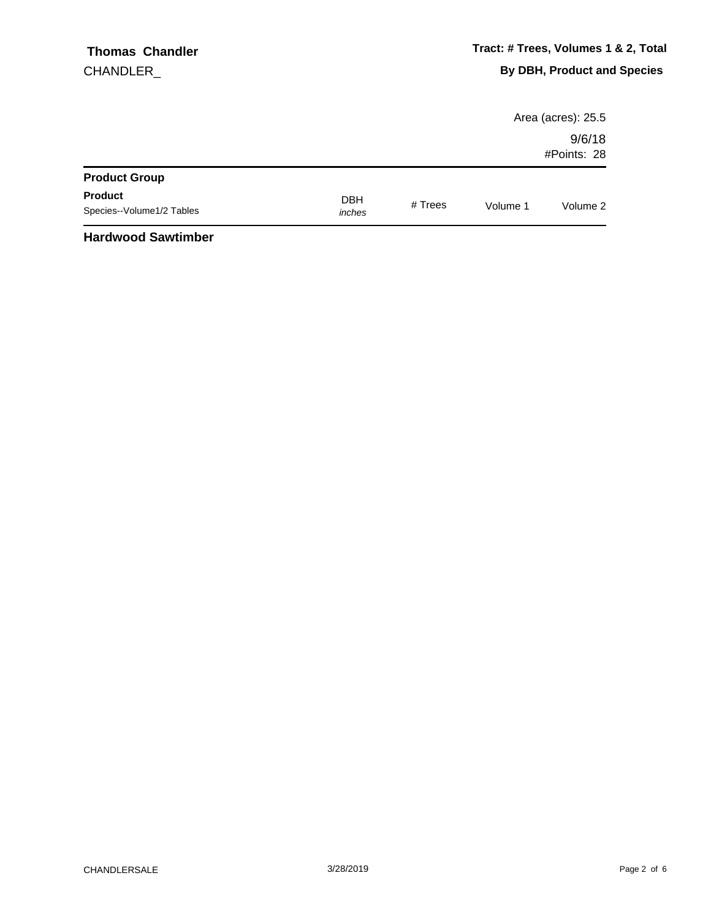|                                             |                      |           |          | Area (acres): 25.5    |
|---------------------------------------------|----------------------|-----------|----------|-----------------------|
|                                             |                      |           |          | 9/6/18<br>#Points: 28 |
| <b>Product Group</b>                        |                      |           |          |                       |
| <b>Product</b><br>Species--Volume1/2 Tables | <b>DBH</b><br>inches | # $Trees$ | Volume 1 | Volume 2              |
| .                                           |                      |           |          |                       |

#### **Hardwood Sawtimber**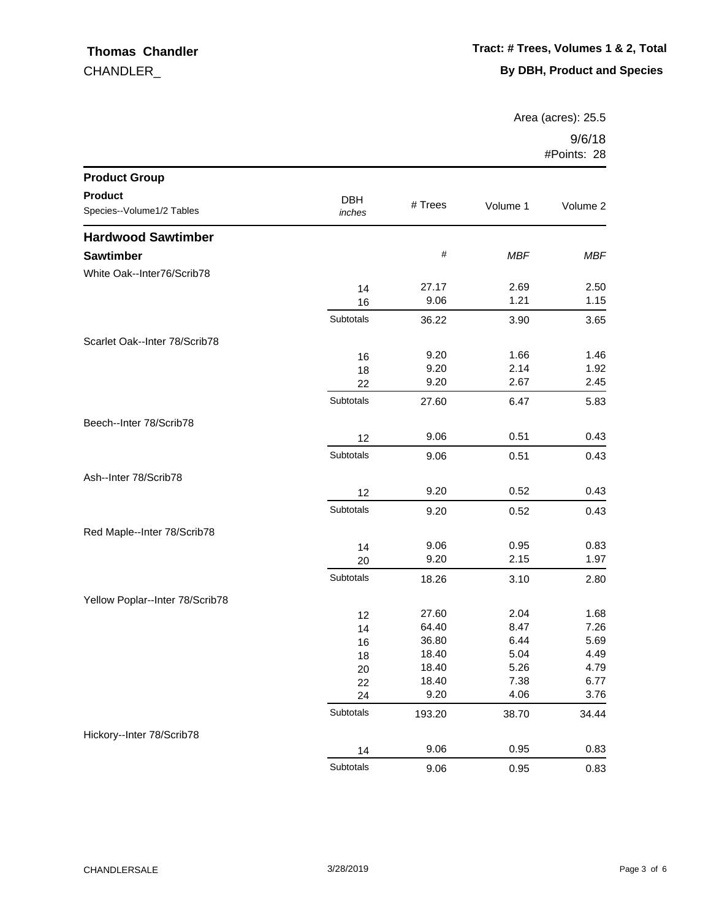Area (acres): 25.5

| <b>Product Group</b>            |           |         |            |            |
|---------------------------------|-----------|---------|------------|------------|
| <b>Product</b>                  | DBH       |         |            |            |
| Species--Volume1/2 Tables       | inches    | # Trees | Volume 1   | Volume 2   |
| <b>Hardwood Sawtimber</b>       |           |         |            |            |
| <b>Sawtimber</b>                |           | $\#$    | <b>MBF</b> | <b>MBF</b> |
| White Oak--Inter76/Scrib78      |           |         |            |            |
|                                 | 14        | 27.17   | 2.69       | 2.50       |
|                                 | 16        | 9.06    | 1.21       | 1.15       |
|                                 | Subtotals | 36.22   | 3.90       | 3.65       |
| Scarlet Oak--Inter 78/Scrib78   |           |         |            |            |
|                                 | 16        | 9.20    | 1.66       | 1.46       |
|                                 | 18        | 9.20    | 2.14       | 1.92       |
|                                 | 22        | 9.20    | 2.67       | 2.45       |
|                                 | Subtotals | 27.60   | 6.47       | 5.83       |
| Beech--Inter 78/Scrib78         |           |         |            |            |
|                                 | 12        | 9.06    | 0.51       | 0.43       |
|                                 | Subtotals | 9.06    | 0.51       | 0.43       |
| Ash--Inter 78/Scrib78           |           |         |            |            |
|                                 | 12        | 9.20    | 0.52       | 0.43       |
|                                 | Subtotals | 9.20    | 0.52       | 0.43       |
| Red Maple--Inter 78/Scrib78     |           |         |            |            |
|                                 | 14        | 9.06    | 0.95       | 0.83       |
|                                 | 20        | 9.20    | 2.15       | 1.97       |
|                                 | Subtotals | 18.26   | 3.10       | 2.80       |
| Yellow Poplar--Inter 78/Scrib78 |           |         |            |            |
|                                 | 12        | 27.60   | 2.04       | 1.68       |
|                                 | 14        | 64.40   | 8.47       | 7.26       |
|                                 | 16        | 36.80   | 6.44       | 5.69       |
|                                 | 18        | 18.40   | 5.04       | 4.49       |
|                                 | 20        | 18.40   | 5.26       | 4.79       |
|                                 | 22        | 18.40   | 7.38       | 6.77       |
|                                 | 24        | 9.20    | 4.06       | 3.76       |
|                                 | Subtotals | 193.20  | 38.70      | 34.44      |
| Hickory--Inter 78/Scrib78       |           |         |            |            |
|                                 | 14        | 9.06    | 0.95       | 0.83       |
|                                 | Subtotals | 9.06    | 0.95       | 0.83       |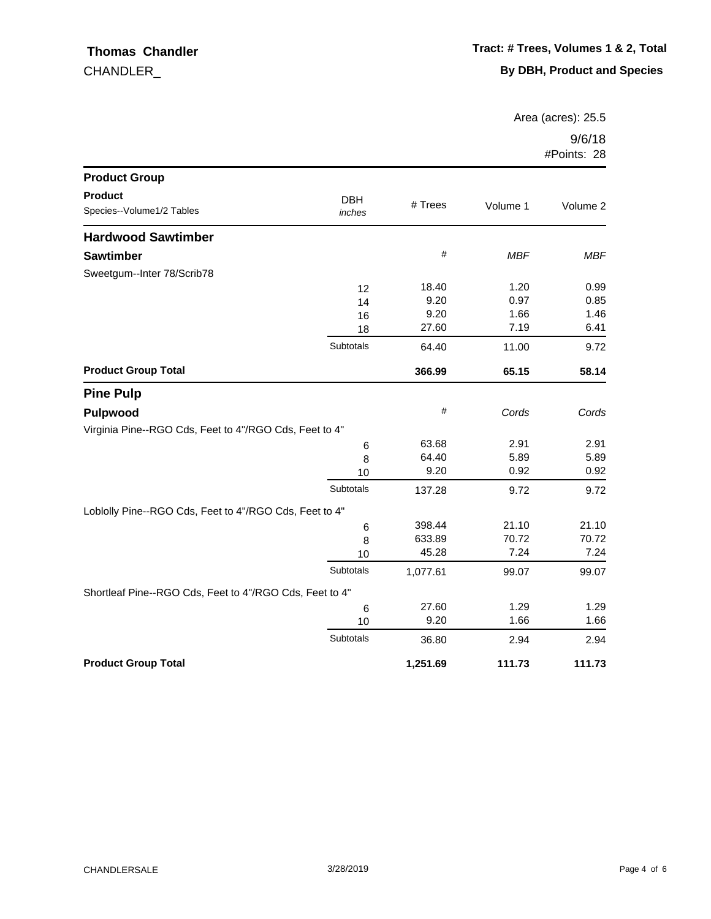Area (acres): 25.5

| <b>Product Group</b>                                    |                      |          |            |            |
|---------------------------------------------------------|----------------------|----------|------------|------------|
| <b>Product</b><br>Species--Volume1/2 Tables             | <b>DBH</b><br>inches | # Trees  | Volume 1   | Volume 2   |
| <b>Hardwood Sawtimber</b>                               |                      |          |            |            |
| <b>Sawtimber</b>                                        |                      | $\#$     | <b>MBF</b> | <b>MBF</b> |
| Sweetgum--Inter 78/Scrib78                              |                      |          |            |            |
|                                                         | 12                   | 18.40    | 1.20       | 0.99       |
|                                                         | 14                   | 9.20     | 0.97       | 0.85       |
|                                                         | 16                   | 9.20     | 1.66       | 1.46       |
|                                                         | 18                   | 27.60    | 7.19       | 6.41       |
|                                                         | Subtotals            | 64.40    | 11.00      | 9.72       |
| <b>Product Group Total</b>                              |                      | 366.99   | 65.15      | 58.14      |
| <b>Pine Pulp</b>                                        |                      |          |            |            |
| <b>Pulpwood</b>                                         |                      | #        | Cords      | Cords      |
| Virginia Pine--RGO Cds, Feet to 4"/RGO Cds, Feet to 4"  |                      |          |            |            |
|                                                         | 6                    | 63.68    | 2.91       | 2.91       |
|                                                         | 8                    | 64.40    | 5.89       | 5.89       |
|                                                         | 10                   | 9.20     | 0.92       | 0.92       |
|                                                         | Subtotals            | 137.28   | 9.72       | 9.72       |
| Loblolly Pine--RGO Cds, Feet to 4"/RGO Cds, Feet to 4"  |                      |          |            |            |
|                                                         | 6                    | 398.44   | 21.10      | 21.10      |
|                                                         | 8                    | 633.89   | 70.72      | 70.72      |
|                                                         | 10                   | 45.28    | 7.24       | 7.24       |
|                                                         | Subtotals            | 1,077.61 | 99.07      | 99.07      |
| Shortleaf Pine--RGO Cds, Feet to 4"/RGO Cds, Feet to 4" |                      |          |            |            |
|                                                         | 6                    | 27.60    | 1.29       | 1.29       |
|                                                         | 10                   | 9.20     | 1.66       | 1.66       |
|                                                         | Subtotals            | 36.80    | 2.94       | 2.94       |
| <b>Product Group Total</b>                              |                      | 1,251.69 | 111.73     | 111.73     |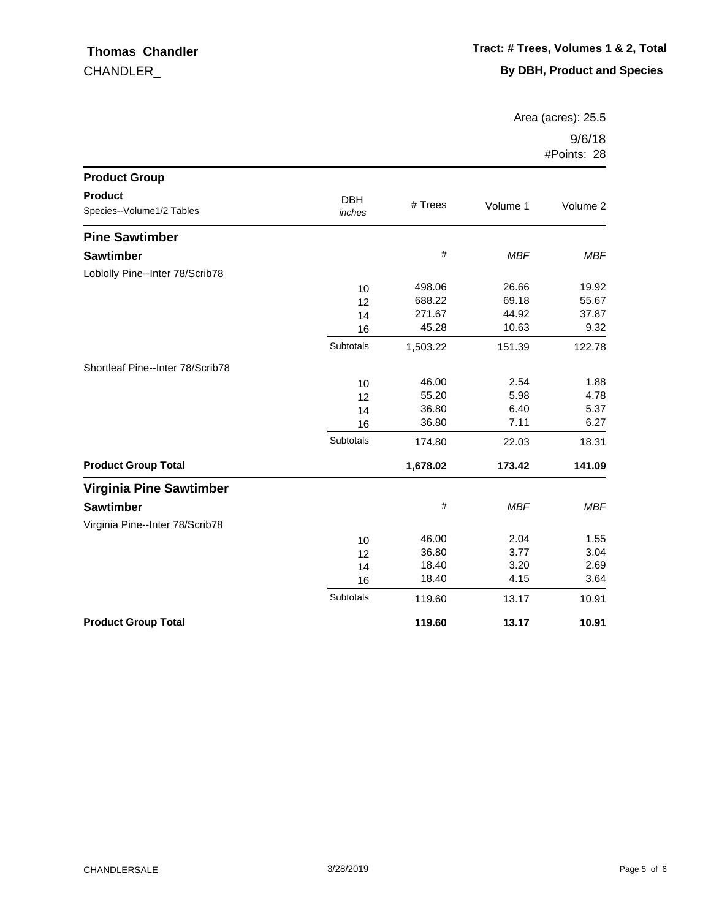Area (acres): 25.5

| <b>Product Group</b>                        |                      |          |            |            |
|---------------------------------------------|----------------------|----------|------------|------------|
| <b>Product</b><br>Species--Volume1/2 Tables | <b>DBH</b><br>inches | # Trees  | Volume 1   | Volume 2   |
| <b>Pine Sawtimber</b>                       |                      |          |            |            |
| <b>Sawtimber</b>                            |                      | $\#$     | <b>MBF</b> | <b>MBF</b> |
| Loblolly Pine--Inter 78/Scrib78             |                      |          |            |            |
|                                             | 10                   | 498.06   | 26.66      | 19.92      |
|                                             | 12                   | 688.22   | 69.18      | 55.67      |
|                                             | 14                   | 271.67   | 44.92      | 37.87      |
|                                             | 16                   | 45.28    | 10.63      | 9.32       |
|                                             | Subtotals            | 1,503.22 | 151.39     | 122.78     |
| Shortleaf Pine--Inter 78/Scrib78            |                      |          |            |            |
|                                             | 10                   | 46.00    | 2.54       | 1.88       |
|                                             | 12                   | 55.20    | 5.98       | 4.78       |
|                                             | 14                   | 36.80    | 6.40       | 5.37       |
|                                             | 16                   | 36.80    | 7.11       | 6.27       |
|                                             | Subtotals            | 174.80   | 22.03      | 18.31      |
| <b>Product Group Total</b>                  |                      | 1,678.02 | 173.42     | 141.09     |
| Virginia Pine Sawtimber                     |                      |          |            |            |
| <b>Sawtimber</b>                            |                      | $\#$     | <b>MBF</b> | <b>MBF</b> |
| Virginia Pine--Inter 78/Scrib78             |                      |          |            |            |
|                                             | 10                   | 46.00    | 2.04       | 1.55       |
|                                             | 12                   | 36.80    | 3.77       | 3.04       |
|                                             | 14                   | 18.40    | 3.20       | 2.69       |
|                                             | 16                   | 18.40    | 4.15       | 3.64       |
|                                             | Subtotals            | 119.60   | 13.17      | 10.91      |
| <b>Product Group Total</b>                  |                      | 119.60   | 13.17      | 10.91      |